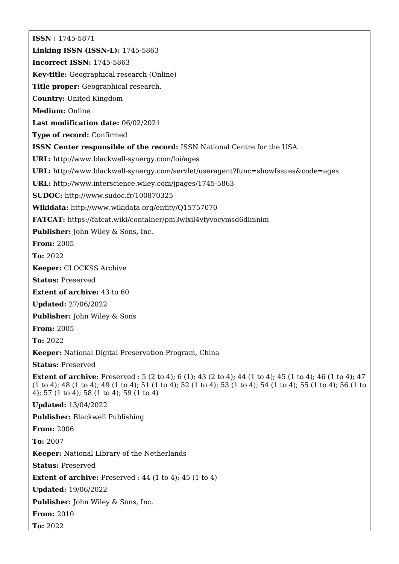**ISSN :** 1745-5871 **Linking ISSN (ISSN-L):** 1745-5863 **Incorrect ISSN:** 1745-5863 **Key-title:** Geographical research (Online) **Title proper:** Geographical research. **Country:** United Kingdom **Medium:** Online **Last modification date:** 06/02/2021 **Type of record:** Confirmed **ISSN Center responsible of the record:** ISSN National Centre for the USA **URL:** <http://www.blackwell-synergy.com/loi/ages> **URL:** <http://www.blackwell-synergy.com/servlet/useragent?func=showIssues&code=ages> **URL:** <http://www.interscience.wiley.com/jpages/1745-5863> **SUDOC:** <http://www.sudoc.fr/100870325> **Wikidata:** <http://www.wikidata.org/entity/Q15757070> **FATCAT:** <https://fatcat.wiki/container/pm3wlxil4vfyvocymsd6dimnim> **Publisher:** John Wiley & Sons, Inc. **From:** 2005 **To:** 2022 **Keeper:** CLOCKSS Archive **Status:** Preserved **Extent of archive:** 43 to 60 **Updated:** 27/06/2022 **Publisher:** John Wiley & Sons **From:** 2005 **To:** 2022 **Keeper:** National Digital Preservation Program, China **Status:** Preserved **Extent of archive:** Preserved : 5 (2 to 4); 6 (1); 43 (2 to 4); 44 (1 to 4); 45 (1 to 4); 46 (1 to 4); 47 (1 to 4); 48 (1 to 4); 49 (1 to 4); 51 (1 to 4); 52 (1 to 4); 53 (1 to 4); 54 (1 to 4); 55 (1 to 4); 56 (1 to 4); 57 (1 to 4); 58 (1 to 4); 59 (1 to 4) **Updated:** 13/04/2022 **Publisher:** Blackwell Publishing **From:** 2006 **To:** 2007 **Keeper:** National Library of the Netherlands **Status:** Preserved **Extent of archive:** Preserved : 44 (1 to 4); 45 (1 to 4) **Updated:** 19/06/2022 **Publisher:** John Wiley & Sons, Inc. **From:** 2010 **To:** 2022